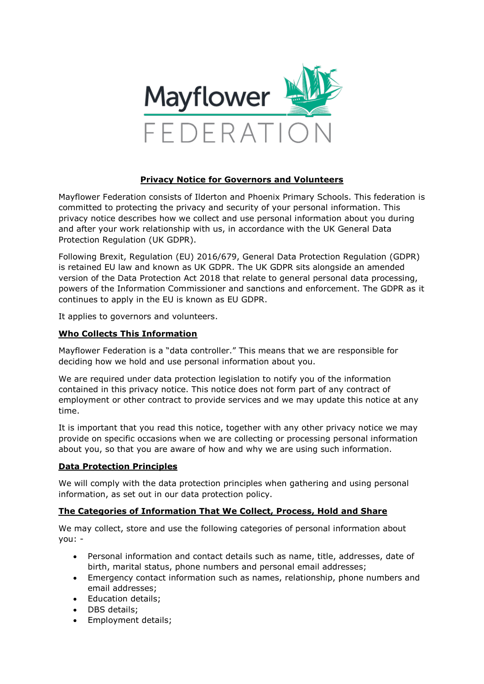

## **Privacy Notice for Governors and Volunteers**

Mayflower Federation consists of Ilderton and Phoenix Primary Schools. This federation is committed to protecting the privacy and security of your personal information. This privacy notice describes how we collect and use personal information about you during and after your work relationship with us, in accordance with the UK General Data Protection Regulation (UK GDPR).

Following Brexit, Regulation (EU) 2016/679, General Data Protection Regulation (GDPR) is retained EU law and known as UK GDPR. The UK GDPR sits alongside an amended version of the Data Protection Act 2018 that relate to general personal data processing, powers of the Information Commissioner and sanctions and enforcement. The GDPR as it continues to apply in the EU is known as EU GDPR.

It applies to governors and volunteers.

## **Who Collects This Information**

Mayflower Federation is a "data controller." This means that we are responsible for deciding how we hold and use personal information about you.

We are required under data protection legislation to notify you of the information contained in this privacy notice. This notice does not form part of any contract of employment or other contract to provide services and we may update this notice at any time.

It is important that you read this notice, together with any other privacy notice we may provide on specific occasions when we are collecting or processing personal information about you, so that you are aware of how and why we are using such information.

## **Data Protection Principles**

We will comply with the data protection principles when gathering and using personal information, as set out in our data protection policy.

## **The Categories of Information That We Collect, Process, Hold and Share**

We may collect, store and use the following categories of personal information about you: -

- Personal information and contact details such as name, title, addresses, date of birth, marital status, phone numbers and personal email addresses;
- Emergency contact information such as names, relationship, phone numbers and email addresses;
- Education details;
- DBS details;
- Employment details;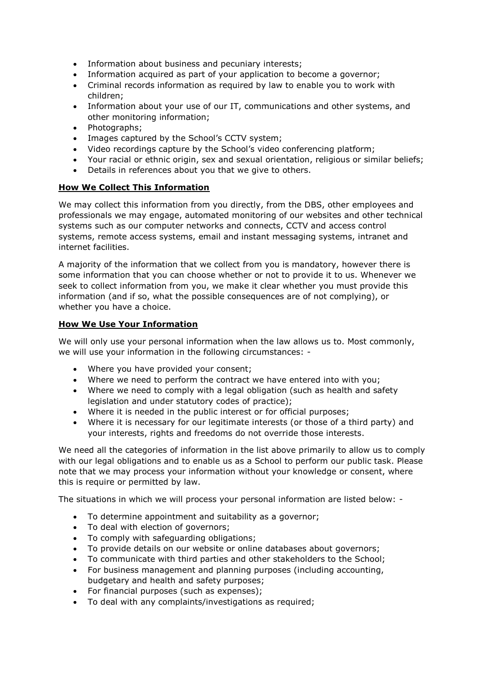- Information about business and pecuniary interests;
- Information acquired as part of your application to become a governor;
- Criminal records information as required by law to enable you to work with children;
- Information about your use of our IT, communications and other systems, and other monitoring information;
- Photographs;
- Images captured by the School's CCTV system;
- Video recordings capture by the School's video conferencing platform;
- Your racial or ethnic origin, sex and sexual orientation, religious or similar beliefs;
- Details in references about you that we give to others.

## **How We Collect This Information**

We may collect this information from you directly, from the DBS, other employees and professionals we may engage, automated monitoring of our websites and other technical systems such as our computer networks and connects, CCTV and access control systems, remote access systems, email and instant messaging systems, intranet and internet facilities.

A majority of the information that we collect from you is mandatory, however there is some information that you can choose whether or not to provide it to us. Whenever we seek to collect information from you, we make it clear whether you must provide this information (and if so, what the possible consequences are of not complying), or whether you have a choice.

## **How We Use Your Information**

We will only use your personal information when the law allows us to. Most commonly, we will use your information in the following circumstances: -

- Where you have provided your consent;
- Where we need to perform the contract we have entered into with you;
- Where we need to comply with a legal obligation (such as health and safety legislation and under statutory codes of practice);
- Where it is needed in the public interest or for official purposes;
- Where it is necessary for our legitimate interests (or those of a third party) and your interests, rights and freedoms do not override those interests.

We need all the categories of information in the list above primarily to allow us to comply with our legal obligations and to enable us as a School to perform our public task. Please note that we may process your information without your knowledge or consent, where this is require or permitted by law.

The situations in which we will process your personal information are listed below: -

- To determine appointment and suitability as a governor;
- To deal with election of governors;
- To comply with safeguarding obligations;
- To provide details on our website or online databases about governors;
- To communicate with third parties and other stakeholders to the School;
- For business management and planning purposes (including accounting, budgetary and health and safety purposes;
- For financial purposes (such as expenses);
- To deal with any complaints/investigations as required;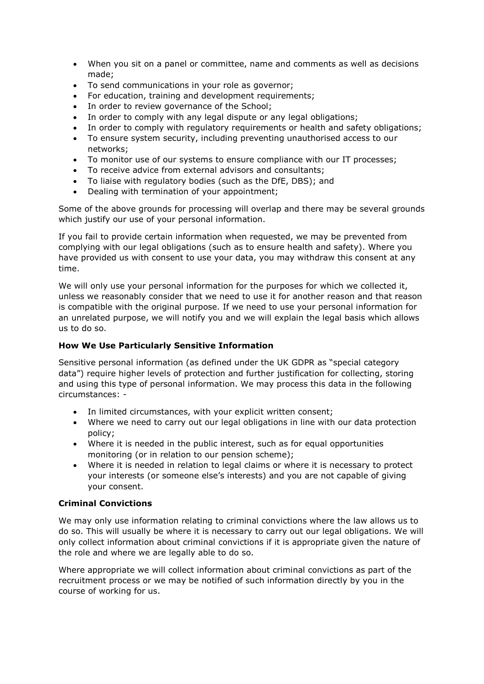- When you sit on a panel or committee, name and comments as well as decisions made;
- To send communications in your role as governor;
- For education, training and development requirements;
- In order to review governance of the School;
- In order to comply with any legal dispute or any legal obligations;
- In order to comply with regulatory requirements or health and safety obligations;
- To ensure system security, including preventing unauthorised access to our networks;
- To monitor use of our systems to ensure compliance with our IT processes;
- To receive advice from external advisors and consultants;
- To liaise with regulatory bodies (such as the DfE, DBS); and
- Dealing with termination of your appointment;

Some of the above grounds for processing will overlap and there may be several grounds which justify our use of your personal information.

If you fail to provide certain information when requested, we may be prevented from complying with our legal obligations (such as to ensure health and safety). Where you have provided us with consent to use your data, you may withdraw this consent at any time.

We will only use your personal information for the purposes for which we collected it, unless we reasonably consider that we need to use it for another reason and that reason is compatible with the original purpose. If we need to use your personal information for an unrelated purpose, we will notify you and we will explain the legal basis which allows us to do so.

# **How We Use Particularly Sensitive Information**

Sensitive personal information (as defined under the UK GDPR as "special category data") require higher levels of protection and further justification for collecting, storing and using this type of personal information. We may process this data in the following circumstances: -

- In limited circumstances, with your explicit written consent;
- Where we need to carry out our legal obligations in line with our data protection policy;
- Where it is needed in the public interest, such as for equal opportunities monitoring (or in relation to our pension scheme);
- Where it is needed in relation to legal claims or where it is necessary to protect your interests (or someone else's interests) and you are not capable of giving your consent.

# **Criminal Convictions**

We may only use information relating to criminal convictions where the law allows us to do so. This will usually be where it is necessary to carry out our legal obligations. We will only collect information about criminal convictions if it is appropriate given the nature of the role and where we are legally able to do so.

Where appropriate we will collect information about criminal convictions as part of the recruitment process or we may be notified of such information directly by you in the course of working for us.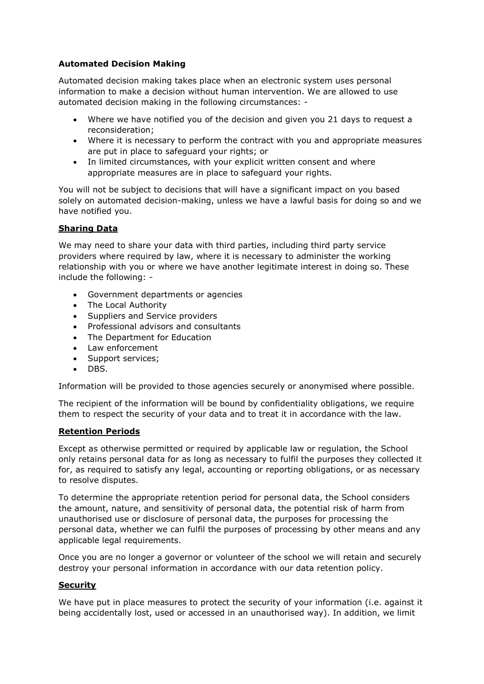## **Automated Decision Making**

Automated decision making takes place when an electronic system uses personal information to make a decision without human intervention. We are allowed to use automated decision making in the following circumstances: -

- Where we have notified you of the decision and given you 21 days to request a reconsideration;
- Where it is necessary to perform the contract with you and appropriate measures are put in place to safeguard your rights; or
- In limited circumstances, with your explicit written consent and where appropriate measures are in place to safeguard your rights.

You will not be subject to decisions that will have a significant impact on you based solely on automated decision-making, unless we have a lawful basis for doing so and we have notified you.

## **Sharing Data**

We may need to share your data with third parties, including third party service providers where required by law, where it is necessary to administer the working relationship with you or where we have another legitimate interest in doing so. These include the following: -

- Government departments or agencies
- The Local Authority
- Suppliers and Service providers
- Professional advisors and consultants
- The Department for Education
- Law enforcement
- Support services:
- DBS.

Information will be provided to those agencies securely or anonymised where possible.

The recipient of the information will be bound by confidentiality obligations, we require them to respect the security of your data and to treat it in accordance with the law.

#### **Retention Periods**

Except as otherwise permitted or required by applicable law or regulation, the School only retains personal data for as long as necessary to fulfil the purposes they collected it for, as required to satisfy any legal, accounting or reporting obligations, or as necessary to resolve disputes.

To determine the appropriate retention period for personal data, the School considers the amount, nature, and sensitivity of personal data, the potential risk of harm from unauthorised use or disclosure of personal data, the purposes for processing the personal data, whether we can fulfil the purposes of processing by other means and any applicable legal requirements.

Once you are no longer a governor or volunteer of the school we will retain and securely destroy your personal information in accordance with our data retention policy.

#### **Security**

We have put in place measures to protect the security of your information (i.e. against it being accidentally lost, used or accessed in an unauthorised way). In addition, we limit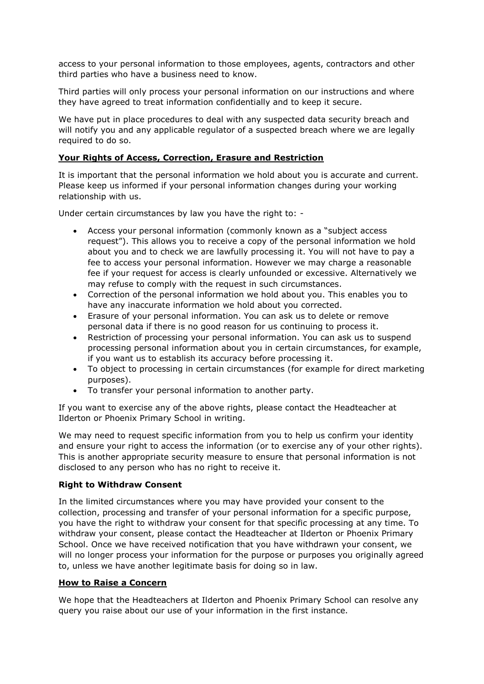access to your personal information to those employees, agents, contractors and other third parties who have a business need to know.

Third parties will only process your personal information on our instructions and where they have agreed to treat information confidentially and to keep it secure.

We have put in place procedures to deal with any suspected data security breach and will notify you and any applicable regulator of a suspected breach where we are legally required to do so.

#### **Your Rights of Access, Correction, Erasure and Restriction**

It is important that the personal information we hold about you is accurate and current. Please keep us informed if your personal information changes during your working relationship with us.

Under certain circumstances by law you have the right to: -

- Access your personal information (commonly known as a "subject access request"). This allows you to receive a copy of the personal information we hold about you and to check we are lawfully processing it. You will not have to pay a fee to access your personal information. However we may charge a reasonable fee if your request for access is clearly unfounded or excessive. Alternatively we may refuse to comply with the request in such circumstances.
- Correction of the personal information we hold about you. This enables you to have any inaccurate information we hold about you corrected.
- Erasure of your personal information. You can ask us to delete or remove personal data if there is no good reason for us continuing to process it.
- Restriction of processing your personal information. You can ask us to suspend processing personal information about you in certain circumstances, for example, if you want us to establish its accuracy before processing it.
- To object to processing in certain circumstances (for example for direct marketing purposes).
- To transfer your personal information to another party.

If you want to exercise any of the above rights, please contact the Headteacher at Ilderton or Phoenix Primary School in writing.

We may need to request specific information from you to help us confirm your identity and ensure your right to access the information (or to exercise any of your other rights). This is another appropriate security measure to ensure that personal information is not disclosed to any person who has no right to receive it.

## **Right to Withdraw Consent**

In the limited circumstances where you may have provided your consent to the collection, processing and transfer of your personal information for a specific purpose, you have the right to withdraw your consent for that specific processing at any time. To withdraw your consent, please contact the Headteacher at Ilderton or Phoenix Primary School. Once we have received notification that you have withdrawn your consent, we will no longer process your information for the purpose or purposes you originally agreed to, unless we have another legitimate basis for doing so in law.

## **How to Raise a Concern**

We hope that the Headteachers at Ilderton and Phoenix Primary School can resolve any query you raise about our use of your information in the first instance.